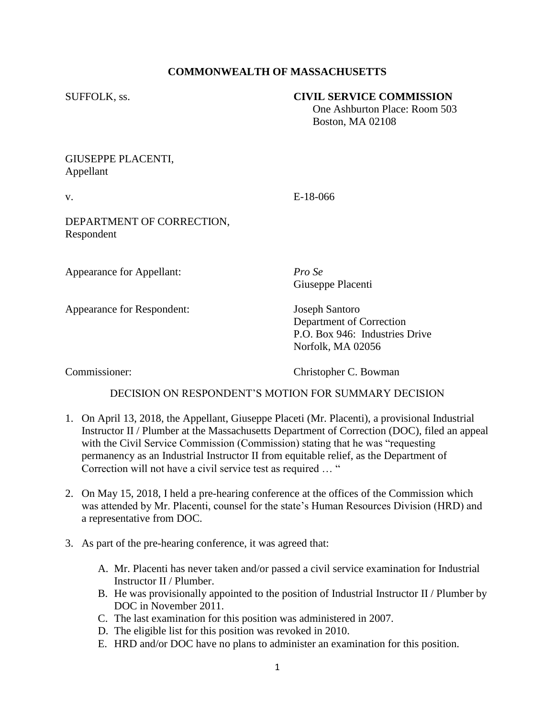## **COMMONWEALTH OF MASSACHUSETTS**

## SUFFOLK, ss. **CIVIL SERVICE COMMISSION**

 One Ashburton Place: Room 503 Boston, MA 02108

## GIUSEPPE PLACENTI, Appellant

v. E-18-066

DEPARTMENT OF CORRECTION, Respondent

Appearance for Appellant: *Pro Se*

Giuseppe Placenti

Appearance for Respondent: Joseph Santoro

Department of Correction P.O. Box 946: Industries Drive Norfolk, MA 02056

Commissioner: Christopher C. Bowman

## DECISION ON RESPONDENT'S MOTION FOR SUMMARY DECISION

- 1. On April 13, 2018, the Appellant, Giuseppe Placeti (Mr. Placenti), a provisional Industrial Instructor II / Plumber at the Massachusetts Department of Correction (DOC), filed an appeal with the Civil Service Commission (Commission) stating that he was "requesting permanency as an Industrial Instructor II from equitable relief, as the Department of Correction will not have a civil service test as required … "
- 2. On May 15, 2018, I held a pre-hearing conference at the offices of the Commission which was attended by Mr. Placenti, counsel for the state's Human Resources Division (HRD) and a representative from DOC.
- 3. As part of the pre-hearing conference, it was agreed that:
	- A. Mr. Placenti has never taken and/or passed a civil service examination for Industrial Instructor II / Plumber.
	- B. He was provisionally appointed to the position of Industrial Instructor II / Plumber by DOC in November 2011.
	- C. The last examination for this position was administered in 2007.
	- D. The eligible list for this position was revoked in 2010.
	- E. HRD and/or DOC have no plans to administer an examination for this position.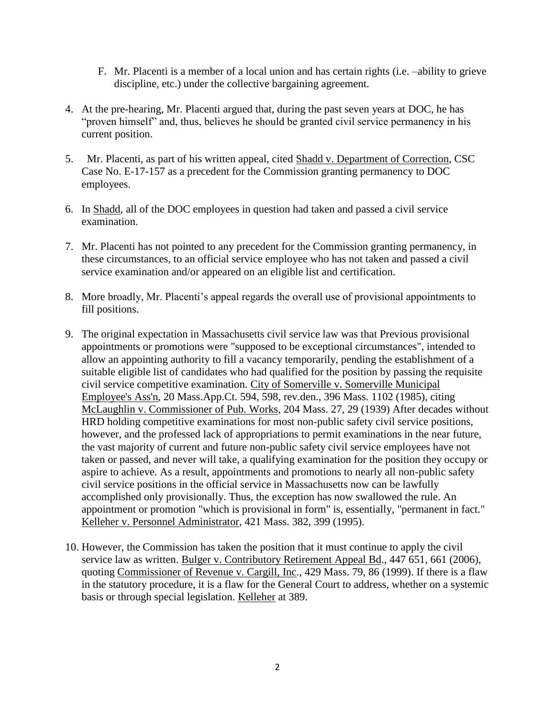- F. Mr. Placenti is a member of a local union and has certain rights (i.e. –ability to grieve discipline, etc.) under the collective bargaining agreement.
- 4. At the pre-hearing, Mr. Placenti argued that, during the past seven years at DOC, he has "proven himself" and, thus, believes he should be granted civil service permanency in his current position.
- 5. Mr. Placenti, as part of his written appeal, cited Shadd v. Department of Correction, CSC Case No. E-17-157 as a precedent for the Commission granting permanency to DOC employees.
- 6. In Shadd, all of the DOC employees in question had taken and passed a civil service examination.
- 7. Mr. Placenti has not pointed to any precedent for the Commission granting permanency, in these circumstances, to an official service employee who has not taken and passed a civil service examination and/or appeared on an eligible list and certification.
- 8. More broadly, Mr. Placenti's appeal regards the overall use of provisional appointments to fill positions.
- 9. The original expectation in Massachusetts civil service law was that Previous provisional appointments or promotions were "supposed to be exceptional circumstances", intended to allow an appointing authority to fill a vacancy temporarily, pending the establishment of a suitable eligible list of candidates who had qualified for the position by passing the requisite civil service competitive examination. City of Somerville v. Somerville Municipal Employee's Ass'n, 20 Mass.App.Ct. 594, 598, rev.den., 396 Mass. 1102 (1985), citing McLaughlin v. Commissioner of Pub. Works, 204 Mass. 27, 29 (1939) After decades without HRD holding competitive examinations for most non-public safety civil service positions, however, and the professed lack of appropriations to permit examinations in the near future, the vast majority of current and future non-public safety civil service employees have not taken or passed, and never will take, a qualifying examination for the position they occupy or aspire to achieve. As a result, appointments and promotions to nearly all non-public safety civil service positions in the official service in Massachusetts now can be lawfully accomplished only provisionally. Thus, the exception has now swallowed the rule. An appointment or promotion "which is provisional in form" is, essentially, "permanent in fact." Kelleher v. Personnel Administrator, 421 Mass. 382, 399 (1995).
- 10. However, the Commission has taken the position that it must continue to apply the civil service law as written. Bulger v. Contributory Retirement Appeal Bd., 447 651, 661 (2006), quoting Commissioner of Revenue v. Cargill, Inc., 429 Mass. 79, 86 (1999). If there is a flaw in the statutory procedure, it is a flaw for the General Court to address, whether on a systemic basis or through special legislation. Kelleher at 389.